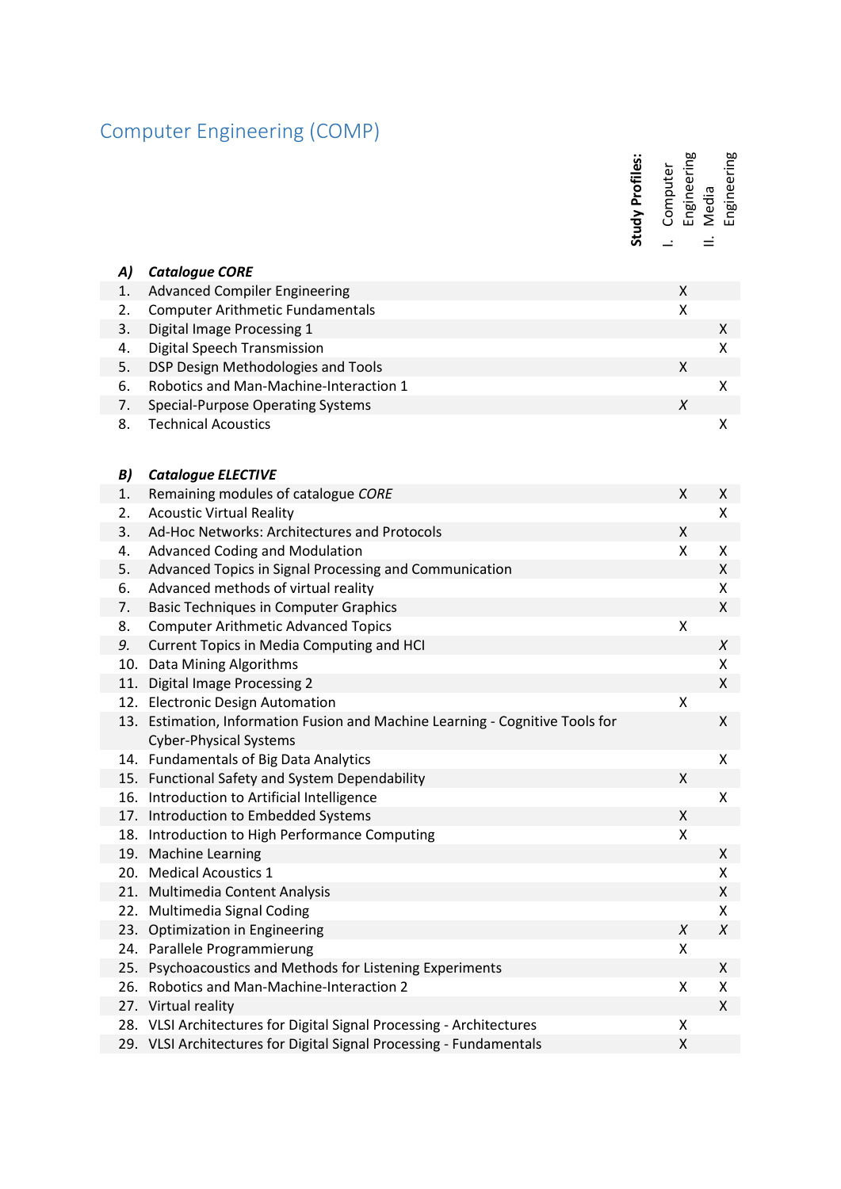## Computer Engineering (COMP)

I. Computer<br>Engineering<br>II. Media<br>Engineering Engineering

|     |                                                                           | Study Profiles: | Engineering<br>Computer  | Engineering<br>Media |
|-----|---------------------------------------------------------------------------|-----------------|--------------------------|----------------------|
|     |                                                                           |                 | $\overline{\phantom{a}}$ | Ξ                    |
| A)  | <b>Catalogue CORE</b>                                                     |                 |                          |                      |
| 1.  | <b>Advanced Compiler Engineering</b>                                      |                 | X                        |                      |
| 2.  | <b>Computer Arithmetic Fundamentals</b>                                   |                 | $\pmb{\mathsf{X}}$       |                      |
| 3.  | Digital Image Processing 1                                                |                 |                          | $\pmb{\mathsf{X}}$   |
| 4.  | Digital Speech Transmission                                               |                 |                          | X                    |
| 5.  | DSP Design Methodologies and Tools                                        |                 | $\pmb{\mathsf{X}}$       |                      |
| 6.  | Robotics and Man-Machine-Interaction 1                                    |                 |                          | Χ                    |
| 7.  | <b>Special-Purpose Operating Systems</b>                                  |                 | $\chi$                   |                      |
| 8.  | <b>Technical Acoustics</b>                                                |                 |                          | X                    |
|     |                                                                           |                 |                          |                      |
| B)  | <b>Catalogue ELECTIVE</b>                                                 |                 |                          |                      |
| 1.  | Remaining modules of catalogue CORE                                       |                 | X                        | X                    |
| 2.  | <b>Acoustic Virtual Reality</b>                                           |                 |                          | X                    |
| 3.  | Ad-Hoc Networks: Architectures and Protocols                              |                 | $\mathsf{X}$             |                      |
| 4.  | <b>Advanced Coding and Modulation</b>                                     |                 | $\pmb{\mathsf{X}}$       | Χ                    |
| 5.  | Advanced Topics in Signal Processing and Communication                    |                 |                          | X                    |
| 6.  | Advanced methods of virtual reality                                       |                 |                          | Χ                    |
| 7.  | <b>Basic Techniques in Computer Graphics</b>                              |                 |                          | $\pmb{\mathsf{X}}$   |
| 8.  | <b>Computer Arithmetic Advanced Topics</b>                                |                 | $\pmb{\mathsf{X}}$       |                      |
| 9.  | Current Topics in Media Computing and HCI                                 |                 |                          | X                    |
| 10. | Data Mining Algorithms                                                    |                 |                          | X                    |
| 11. | <b>Digital Image Processing 2</b>                                         |                 |                          | $\pmb{\mathsf{X}}$   |
|     | 12. Electronic Design Automation                                          |                 | Χ                        |                      |
| 13. | Estimation, Information Fusion and Machine Learning - Cognitive Tools for |                 |                          | X                    |
|     | <b>Cyber-Physical Systems</b>                                             |                 |                          |                      |
|     | 14. Fundamentals of Big Data Analytics                                    |                 |                          | Χ                    |
|     | 15. Functional Safety and System Dependability                            |                 | $\pmb{\mathsf{X}}$       |                      |
|     | 16. Introduction to Artificial Intelligence                               |                 |                          | X                    |
|     | 17. Introduction to Embedded Systems                                      |                 | X                        |                      |
| 18. | Introduction to High Performance Computing                                |                 | X                        |                      |
|     | 19. Machine Learning                                                      |                 |                          | Χ                    |
|     | 20. Medical Acoustics 1                                                   |                 |                          | Χ                    |
|     | 21. Multimedia Content Analysis                                           |                 |                          | Χ                    |
| 22. | Multimedia Signal Coding<br>23. Optimization in Engineering               |                 | $\chi$                   | X<br>$\chi$          |
| 24. | Parallele Programmierung                                                  |                 | Χ                        |                      |
| 25. | Psychoacoustics and Methods for Listening Experiments                     |                 |                          | X                    |
| 26. | Robotics and Man-Machine-Interaction 2                                    |                 | X                        | X                    |
|     | 27. Virtual reality                                                       |                 |                          | $\pmb{\mathsf{X}}$   |
|     | 28. VLSI Architectures for Digital Signal Processing - Architectures      |                 | Χ                        |                      |
|     | 29. VLSI Architectures for Digital Signal Processing - Fundamentals       |                 | X                        |                      |